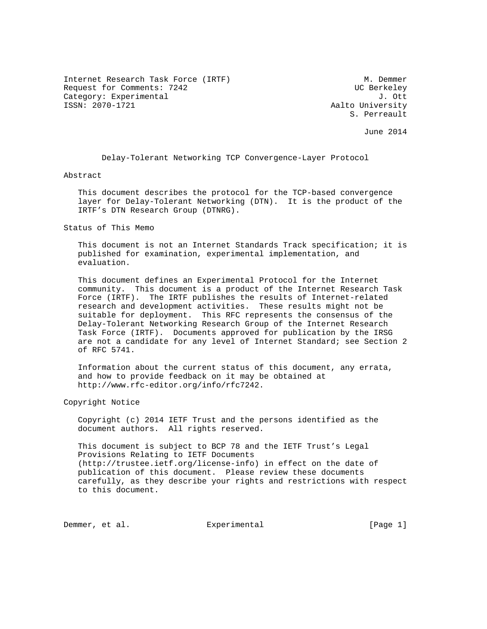Internet Research Task Force (IRTF) M. Demmer Request for Comments: 7242 UC Berkeley Category: Experimental J. Ott J. Ott J. Ott J. Ott J. Ott J. Ott J. Ott J. Ott J. Ott J. Ott J. Ott J. Ott J. Ott J. Ott J. Ott J. Ott J. Ott J. Ott J. Ott J. Ott J. Ott J. Ott J. Ott J. Ott J. Ott J. Ott J. Ott J. Ott J.

Aalto University S. Perreault

June 2014

Delay-Tolerant Networking TCP Convergence-Layer Protocol

Abstract

 This document describes the protocol for the TCP-based convergence layer for Delay-Tolerant Networking (DTN). It is the product of the IRTF's DTN Research Group (DTNRG).

Status of This Memo

 This document is not an Internet Standards Track specification; it is published for examination, experimental implementation, and evaluation.

 This document defines an Experimental Protocol for the Internet community. This document is a product of the Internet Research Task Force (IRTF). The IRTF publishes the results of Internet-related research and development activities. These results might not be suitable for deployment. This RFC represents the consensus of the Delay-Tolerant Networking Research Group of the Internet Research Task Force (IRTF). Documents approved for publication by the IRSG are not a candidate for any level of Internet Standard; see Section 2 of RFC 5741.

 Information about the current status of this document, any errata, and how to provide feedback on it may be obtained at http://www.rfc-editor.org/info/rfc7242.

Copyright Notice

 Copyright (c) 2014 IETF Trust and the persons identified as the document authors. All rights reserved.

 This document is subject to BCP 78 and the IETF Trust's Legal Provisions Relating to IETF Documents (http://trustee.ietf.org/license-info) in effect on the date of publication of this document. Please review these documents carefully, as they describe your rights and restrictions with respect to this document.

Demmer, et al. Experimental [Page 1]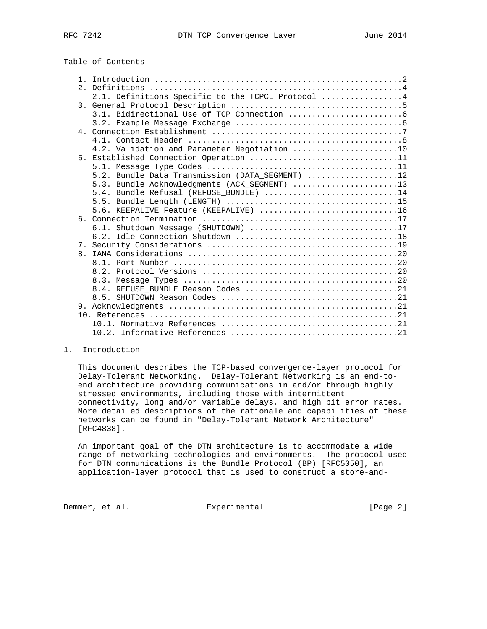# Table of Contents

|    | 2.1. Definitions Specific to the TCPCL Protocol 4 |
|----|---------------------------------------------------|
|    |                                                   |
|    |                                                   |
|    |                                                   |
|    |                                                   |
|    |                                                   |
|    | 4.2. Validation and Parameter Negotiation 10      |
| 5. | Established Connection Operation 11               |
|    |                                                   |
|    | 5.2. Bundle Data Transmission (DATA_SEGMENT) 12   |
|    | 5.3. Bundle Acknowledgments (ACK_SEGMENT) 13      |
|    | 5.4. Bundle Refusal (REFUSE_BUNDLE) 14            |
|    |                                                   |
|    | 5.6. KEEPALIVE Feature (KEEPALIVE) 16             |
|    |                                                   |
|    | 6.1. Shutdown Message (SHUTDOWN) 17               |
|    |                                                   |
|    |                                                   |
|    |                                                   |
|    |                                                   |
|    |                                                   |
|    |                                                   |
|    | 8.4. REFUSE BUNDLE Reason Codes 21                |
|    |                                                   |
|    |                                                   |
|    |                                                   |
|    |                                                   |
|    |                                                   |

### 1. Introduction

 This document describes the TCP-based convergence-layer protocol for Delay-Tolerant Networking. Delay-Tolerant Networking is an end-to end architecture providing communications in and/or through highly stressed environments, including those with intermittent connectivity, long and/or variable delays, and high bit error rates. More detailed descriptions of the rationale and capabilities of these networks can be found in "Delay-Tolerant Network Architecture" [RFC4838].

 An important goal of the DTN architecture is to accommodate a wide range of networking technologies and environments. The protocol used for DTN communications is the Bundle Protocol (BP) [RFC5050], an application-layer protocol that is used to construct a store-and-

Demmer, et al. Experimental Experimental [Page 2]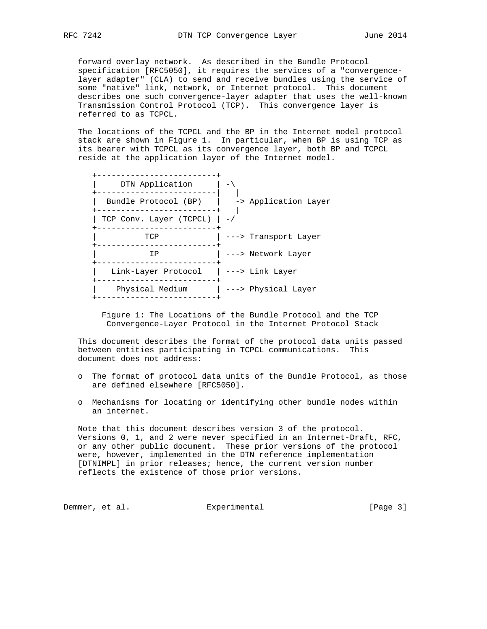forward overlay network. As described in the Bundle Protocol specification [RFC5050], it requires the services of a "convergence layer adapter" (CLA) to send and receive bundles using the service of some "native" link, network, or Internet protocol. This document describes one such convergence-layer adapter that uses the well-known Transmission Control Protocol (TCP). This convergence layer is referred to as TCPCL.

 The locations of the TCPCL and the BP in the Internet model protocol stack are shown in Figure 1. In particular, when BP is using TCP as its bearer with TCPCL as its convergence layer, both BP and TCPCL reside at the application layer of the Internet model.

| DTN Application                                            |                      |
|------------------------------------------------------------|----------------------|
| Bundle Protocol (BP)                                       | -> Application Layer |
| TCP Conv. Layer (TCPCL) $ -/$<br>------------------------- |                      |
| TCP                                                        | ---> Transport Layer |
| TP                                                         | ---> Network Layer   |
| Link-Layer Protocol   ---> Link Layer                      |                      |
| Physical Medium                                            | ---> Physical Layer  |
|                                                            |                      |

 Figure 1: The Locations of the Bundle Protocol and the TCP Convergence-Layer Protocol in the Internet Protocol Stack

 This document describes the format of the protocol data units passed between entities participating in TCPCL communications. This document does not address:

- o The format of protocol data units of the Bundle Protocol, as those are defined elsewhere [RFC5050].
- o Mechanisms for locating or identifying other bundle nodes within an internet.

 Note that this document describes version 3 of the protocol. Versions 0, 1, and 2 were never specified in an Internet-Draft, RFC, or any other public document. These prior versions of the protocol were, however, implemented in the DTN reference implementation [DTNIMPL] in prior releases; hence, the current version number reflects the existence of those prior versions.

Demmer, et al. Experimental Experimental [Page 3]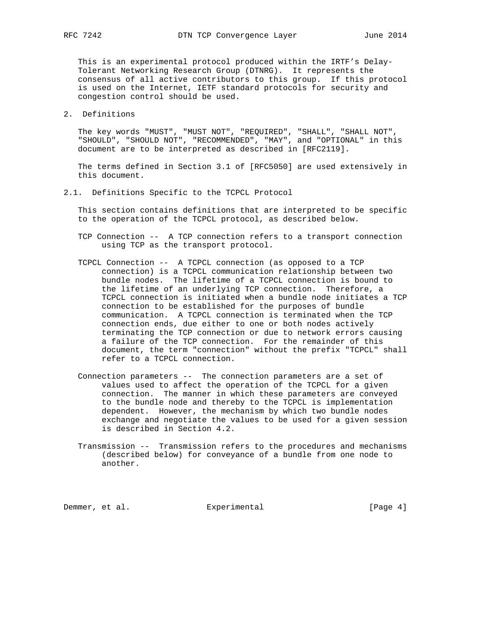This is an experimental protocol produced within the IRTF's Delay- Tolerant Networking Research Group (DTNRG). It represents the consensus of all active contributors to this group. If this protocol is used on the Internet, IETF standard protocols for security and congestion control should be used.

### 2. Definitions

 The key words "MUST", "MUST NOT", "REQUIRED", "SHALL", "SHALL NOT", "SHOULD", "SHOULD NOT", "RECOMMENDED", "MAY", and "OPTIONAL" in this document are to be interpreted as described in [RFC2119].

 The terms defined in Section 3.1 of [RFC5050] are used extensively in this document.

### 2.1. Definitions Specific to the TCPCL Protocol

 This section contains definitions that are interpreted to be specific to the operation of the TCPCL protocol, as described below.

- TCP Connection -- A TCP connection refers to a transport connection using TCP as the transport protocol.
- TCPCL Connection -- A TCPCL connection (as opposed to a TCP connection) is a TCPCL communication relationship between two bundle nodes. The lifetime of a TCPCL connection is bound to the lifetime of an underlying TCP connection. Therefore, a TCPCL connection is initiated when a bundle node initiates a TCP connection to be established for the purposes of bundle communication. A TCPCL connection is terminated when the TCP connection ends, due either to one or both nodes actively terminating the TCP connection or due to network errors causing a failure of the TCP connection. For the remainder of this document, the term "connection" without the prefix "TCPCL" shall refer to a TCPCL connection.
- Connection parameters -- The connection parameters are a set of values used to affect the operation of the TCPCL for a given connection. The manner in which these parameters are conveyed to the bundle node and thereby to the TCPCL is implementation dependent. However, the mechanism by which two bundle nodes exchange and negotiate the values to be used for a given session is described in Section 4.2.
- Transmission -- Transmission refers to the procedures and mechanisms (described below) for conveyance of a bundle from one node to another.

Demmer, et al. Experimental Experimental [Page 4]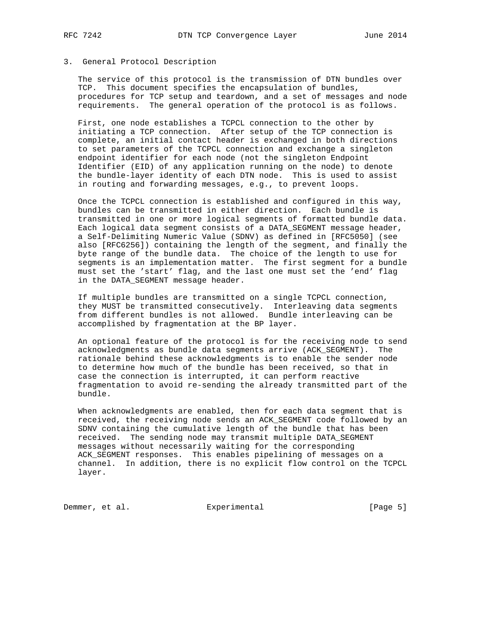## 3. General Protocol Description

 The service of this protocol is the transmission of DTN bundles over TCP. This document specifies the encapsulation of bundles, procedures for TCP setup and teardown, and a set of messages and node requirements. The general operation of the protocol is as follows.

 First, one node establishes a TCPCL connection to the other by initiating a TCP connection. After setup of the TCP connection is complete, an initial contact header is exchanged in both directions to set parameters of the TCPCL connection and exchange a singleton endpoint identifier for each node (not the singleton Endpoint Identifier (EID) of any application running on the node) to denote the bundle-layer identity of each DTN node. This is used to assist in routing and forwarding messages, e.g., to prevent loops.

 Once the TCPCL connection is established and configured in this way, bundles can be transmitted in either direction. Each bundle is transmitted in one or more logical segments of formatted bundle data. Each logical data segment consists of a DATA\_SEGMENT message header, a Self-Delimiting Numeric Value (SDNV) as defined in [RFC5050] (see also [RFC6256]) containing the length of the segment, and finally the byte range of the bundle data. The choice of the length to use for segments is an implementation matter. The first segment for a bundle must set the 'start' flag, and the last one must set the 'end' flag in the DATA\_SEGMENT message header.

 If multiple bundles are transmitted on a single TCPCL connection, they MUST be transmitted consecutively. Interleaving data segments from different bundles is not allowed. Bundle interleaving can be accomplished by fragmentation at the BP layer.

 An optional feature of the protocol is for the receiving node to send acknowledgments as bundle data segments arrive (ACK\_SEGMENT). The rationale behind these acknowledgments is to enable the sender node to determine how much of the bundle has been received, so that in case the connection is interrupted, it can perform reactive fragmentation to avoid re-sending the already transmitted part of the bundle.

 When acknowledgments are enabled, then for each data segment that is received, the receiving node sends an ACK\_SEGMENT code followed by an SDNV containing the cumulative length of the bundle that has been received. The sending node may transmit multiple DATA\_SEGMENT messages without necessarily waiting for the corresponding ACK\_SEGMENT responses. This enables pipelining of messages on a channel. In addition, there is no explicit flow control on the TCPCL layer.

Demmer, et al. Subsection Experimental Experimental [Page 5]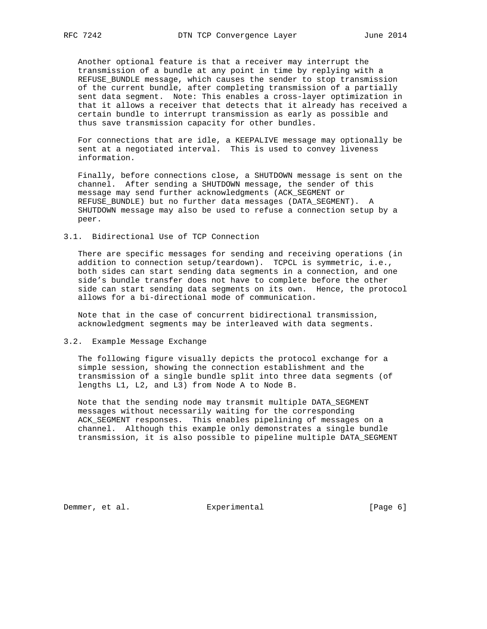Another optional feature is that a receiver may interrupt the transmission of a bundle at any point in time by replying with a REFUSE\_BUNDLE message, which causes the sender to stop transmission of the current bundle, after completing transmission of a partially sent data segment. Note: This enables a cross-layer optimization in that it allows a receiver that detects that it already has received a certain bundle to interrupt transmission as early as possible and thus save transmission capacity for other bundles.

 For connections that are idle, a KEEPALIVE message may optionally be sent at a negotiated interval. This is used to convey liveness information.

 Finally, before connections close, a SHUTDOWN message is sent on the channel. After sending a SHUTDOWN message, the sender of this message may send further acknowledgments (ACK\_SEGMENT or REFUSE\_BUNDLE) but no further data messages (DATA\_SEGMENT). A SHUTDOWN message may also be used to refuse a connection setup by a peer.

3.1. Bidirectional Use of TCP Connection

 There are specific messages for sending and receiving operations (in addition to connection setup/teardown). TCPCL is symmetric, i.e., both sides can start sending data segments in a connection, and one side's bundle transfer does not have to complete before the other side can start sending data segments on its own. Hence, the protocol allows for a bi-directional mode of communication.

 Note that in the case of concurrent bidirectional transmission, acknowledgment segments may be interleaved with data segments.

#### 3.2. Example Message Exchange

 The following figure visually depicts the protocol exchange for a simple session, showing the connection establishment and the transmission of a single bundle split into three data segments (of lengths L1, L2, and L3) from Node A to Node B.

 Note that the sending node may transmit multiple DATA\_SEGMENT messages without necessarily waiting for the corresponding ACK\_SEGMENT responses. This enables pipelining of messages on a channel. Although this example only demonstrates a single bundle transmission, it is also possible to pipeline multiple DATA\_SEGMENT

Demmer, et al. Superimental Experimental [Page 6]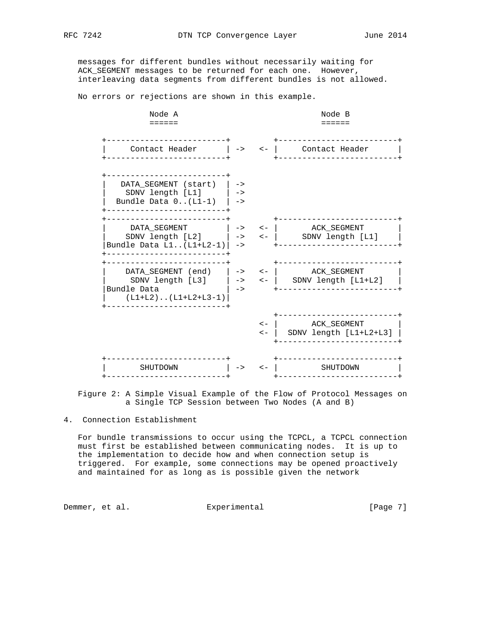messages for different bundles without necessarily waiting for ACK\_SEGMENT messages to be returned for each one. However, interleaving data segments from different bundles is not allowed.

No errors or rejections are shown in this example.

 Node A Node B ====== ====== +-------------------------+ +-------------------------+ | Contact Header | -> <- | Contact Header | +-------------------------+ +-------------------------+ +-------------------------+ DATA\_SEGMENT (start) | -> | SDNV length [L1] | -> Bundle Data  $0 \ldots (L1-1)$  | -> +-------------------------+ +-------------------------+ +-------------------------+ | DATA\_SEGMENT | -> <- | ACK\_SEGMENT | | SDNV length [L2] | -> <- | SDNV length [L1] | |Bundle Data L1..(L1+L2-1)| -> +-------------------------+ +-------------------------+ +-------------------------+ +-------------------------+ | DATA\_SEGMENT (end) | -> <- | ACK\_SEGMENT | | SDNV length [L3] | -> <- | SDNV length [L1+L2] | |Bundle Data | -> +-------------------------+ | (L1+L2)..(L1+L2+L3-1)| +-------------------------+ +-------------------------+ <- | ACK\_SEGMENT | <- | SDNV length [L1+L2+L3] | +-------------------------+ +-------------------------+ +-------------------------+ | SHUTDOWN | -> <- | SHUTDOWN | +-------------------------+ +-------------------------+

 Figure 2: A Simple Visual Example of the Flow of Protocol Messages on a Single TCP Session between Two Nodes (A and B)

4. Connection Establishment

 For bundle transmissions to occur using the TCPCL, a TCPCL connection must first be established between communicating nodes. It is up to the implementation to decide how and when connection setup is triggered. For example, some connections may be opened proactively and maintained for as long as is possible given the network

Demmer, et al. Subsection Experimental Communication (Page 7)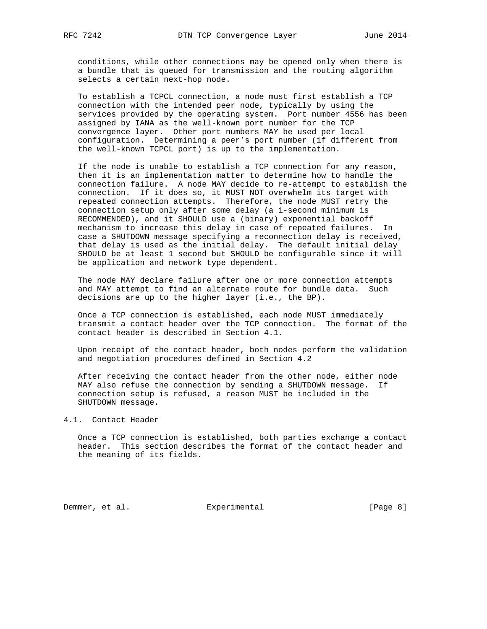conditions, while other connections may be opened only when there is a bundle that is queued for transmission and the routing algorithm selects a certain next-hop node.

 To establish a TCPCL connection, a node must first establish a TCP connection with the intended peer node, typically by using the services provided by the operating system. Port number 4556 has been assigned by IANA as the well-known port number for the TCP convergence layer. Other port numbers MAY be used per local configuration. Determining a peer's port number (if different from the well-known TCPCL port) is up to the implementation.

 If the node is unable to establish a TCP connection for any reason, then it is an implementation matter to determine how to handle the connection failure. A node MAY decide to re-attempt to establish the connection. If it does so, it MUST NOT overwhelm its target with repeated connection attempts. Therefore, the node MUST retry the connection setup only after some delay (a 1-second minimum is RECOMMENDED), and it SHOULD use a (binary) exponential backoff mechanism to increase this delay in case of repeated failures. In case a SHUTDOWN message specifying a reconnection delay is received, that delay is used as the initial delay. The default initial delay SHOULD be at least 1 second but SHOULD be configurable since it will be application and network type dependent.

 The node MAY declare failure after one or more connection attempts and MAY attempt to find an alternate route for bundle data. Such decisions are up to the higher layer (i.e., the BP).

 Once a TCP connection is established, each node MUST immediately transmit a contact header over the TCP connection. The format of the contact header is described in Section 4.1.

 Upon receipt of the contact header, both nodes perform the validation and negotiation procedures defined in Section 4.2

 After receiving the contact header from the other node, either node MAY also refuse the connection by sending a SHUTDOWN message. If connection setup is refused, a reason MUST be included in the SHUTDOWN message.

### 4.1. Contact Header

 Once a TCP connection is established, both parties exchange a contact header. This section describes the format of the contact header and the meaning of its fields.

Demmer, et al. Superimental Experimental [Page 8]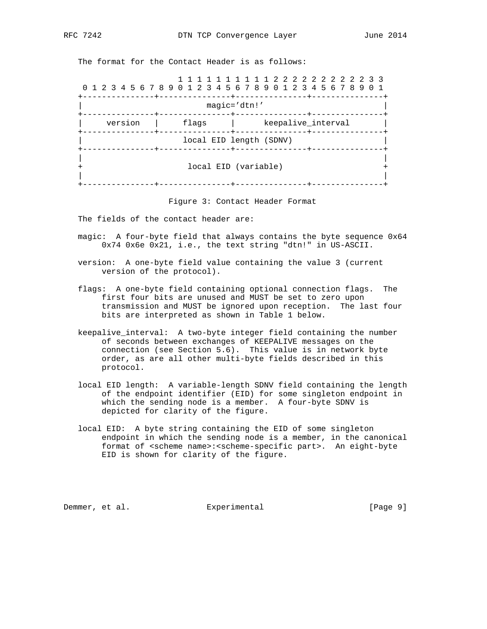The format for the Contact Header is as follows:

| 0 1 2 3 4 5 6 7 8 9 0 1 2 3 4 5 6 7 8 9 0 1 2 3 4 5 6 7 8 9 0 1 |         |  |  |  |  |       |                                                       |  |  |                               |  |  |                    |  |  |  |  |
|-----------------------------------------------------------------|---------|--|--|--|--|-------|-------------------------------------------------------|--|--|-------------------------------|--|--|--------------------|--|--|--|--|
|                                                                 |         |  |  |  |  |       |                                                       |  |  | magic='dtn!'<br>-----+------- |  |  |                    |  |  |  |  |
|                                                                 | version |  |  |  |  | flags |                                                       |  |  |                               |  |  | keepalive interval |  |  |  |  |
|                                                                 |         |  |  |  |  |       | local EID length (SDNV)<br>------+---------------+--- |  |  |                               |  |  |                    |  |  |  |  |
|                                                                 |         |  |  |  |  |       | local EID (variable)                                  |  |  |                               |  |  |                    |  |  |  |  |

Figure 3: Contact Header Format

The fields of the contact header are:

- magic: A four-byte field that always contains the byte sequence 0x64 0x74 0x6e 0x21, i.e., the text string "dtn!" in US-ASCII.
- version: A one-byte field value containing the value 3 (current version of the protocol).
- flags: A one-byte field containing optional connection flags. The first four bits are unused and MUST be set to zero upon transmission and MUST be ignored upon reception. The last four bits are interpreted as shown in Table 1 below.
- keepalive\_interval: A two-byte integer field containing the number of seconds between exchanges of KEEPALIVE messages on the connection (see Section 5.6). This value is in network byte order, as are all other multi-byte fields described in this protocol.
- local EID length: A variable-length SDNV field containing the length of the endpoint identifier (EID) for some singleton endpoint in which the sending node is a member. A four-byte SDNV is depicted for clarity of the figure.
- local EID: A byte string containing the EID of some singleton endpoint in which the sending node is a member, in the canonical format of <scheme name>:<scheme-specific part>. An eight-byte EID is shown for clarity of the figure.

Demmer, et al. Subsection Experimental Experimental [Page 9]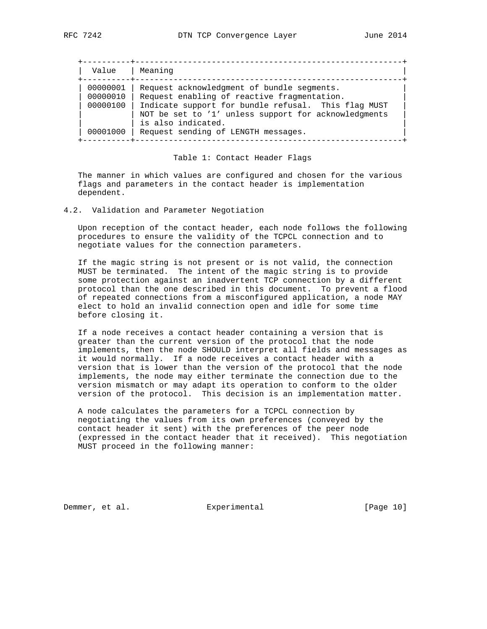| Value    | Meaning                                                                    |
|----------|----------------------------------------------------------------------------|
| 00000001 | Request acknowledgment of bundle segments.                                 |
| 00000010 | Request enabling of reactive fragmentation.                                |
| 00000100 | Indicate support for bundle refusal. This flag MUST                        |
|          | NOT be set to '1' unless support for acknowledgments<br>is also indicated. |
| 00001000 | Request sending of LENGTH messages.                                        |

#### Table 1: Contact Header Flags

 The manner in which values are configured and chosen for the various flags and parameters in the contact header is implementation dependent.

4.2. Validation and Parameter Negotiation

 Upon reception of the contact header, each node follows the following procedures to ensure the validity of the TCPCL connection and to negotiate values for the connection parameters.

 If the magic string is not present or is not valid, the connection MUST be terminated. The intent of the magic string is to provide some protection against an inadvertent TCP connection by a different protocol than the one described in this document. To prevent a flood of repeated connections from a misconfigured application, a node MAY elect to hold an invalid connection open and idle for some time before closing it.

 If a node receives a contact header containing a version that is greater than the current version of the protocol that the node implements, then the node SHOULD interpret all fields and messages as it would normally. If a node receives a contact header with a version that is lower than the version of the protocol that the node implements, the node may either terminate the connection due to the version mismatch or may adapt its operation to conform to the older version of the protocol. This decision is an implementation matter.

 A node calculates the parameters for a TCPCL connection by negotiating the values from its own preferences (conveyed by the contact header it sent) with the preferences of the peer node (expressed in the contact header that it received). This negotiation MUST proceed in the following manner:

Demmer, et al. Subsection Experimental Experimental [Page 10]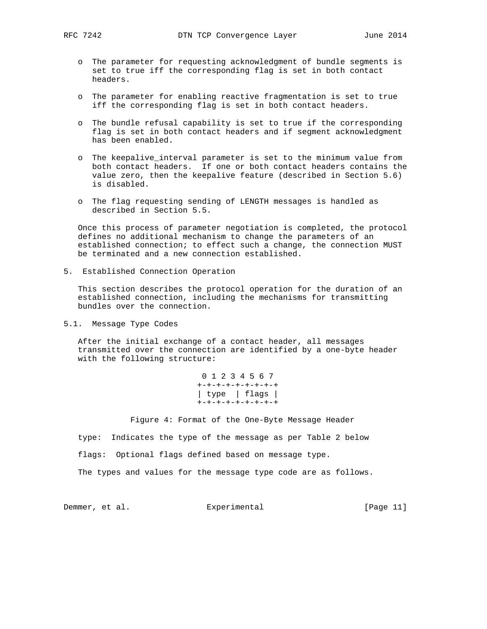- o The parameter for requesting acknowledgment of bundle segments is set to true iff the corresponding flag is set in both contact headers.
- o The parameter for enabling reactive fragmentation is set to true iff the corresponding flag is set in both contact headers.
- o The bundle refusal capability is set to true if the corresponding flag is set in both contact headers and if segment acknowledgment has been enabled.
- o The keepalive\_interval parameter is set to the minimum value from both contact headers. If one or both contact headers contains the value zero, then the keepalive feature (described in Section 5.6) is disabled.
- o The flag requesting sending of LENGTH messages is handled as described in Section 5.5.

 Once this process of parameter negotiation is completed, the protocol defines no additional mechanism to change the parameters of an established connection; to effect such a change, the connection MUST be terminated and a new connection established.

5. Established Connection Operation

 This section describes the protocol operation for the duration of an established connection, including the mechanisms for transmitting bundles over the connection.

5.1. Message Type Codes

 After the initial exchange of a contact header, all messages transmitted over the connection are identified by a one-byte header with the following structure:

> 0 1 2 3 4 5 6 7 +-+-+-+-+-+-+-+-+ | type | flags | +-+-+-+-+-+-+-+-+

Figure 4: Format of the One-Byte Message Header

type: Indicates the type of the message as per Table 2 below

flags: Optional flags defined based on message type.

The types and values for the message type code are as follows.

Demmer, et al. Subsection Experimental Experimental [Page 11]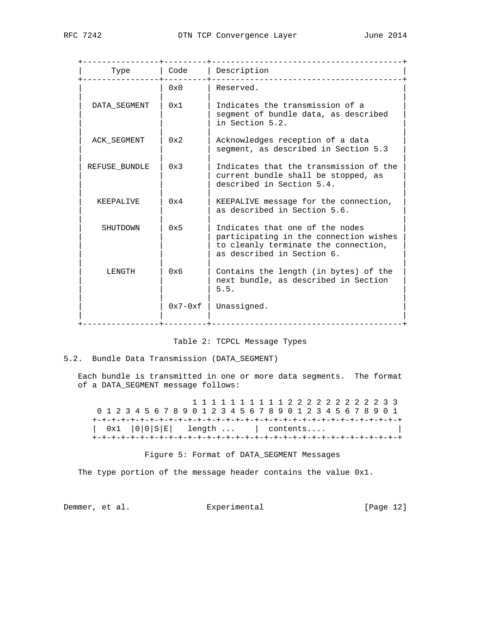| Type          | Code         | Description<br>. List die List die List die List                                                                                                |
|---------------|--------------|-------------------------------------------------------------------------------------------------------------------------------------------------|
|               | $0 \times 0$ | Reserved.                                                                                                                                       |
| DATA SEGMENT  | 0x1          | Indicates the transmission of a<br>segment of bundle data, as described<br>in Section 5.2.                                                      |
| ACK SEGMENT   | 0x2          | Acknowledges reception of a data<br>segment, as described in Section 5.3                                                                        |
| REFUSE BUNDLE | 0x3          | Indicates that the transmission of the<br>current bundle shall be stopped, as<br>described in Section 5.4.                                      |
| KEEPALIVE     | 0x4          | KEEPALIVE message for the connection,<br>as described in Section 5.6.                                                                           |
| SHUTDOWN      | 0x5          | Indicates that one of the nodes<br>participating in the connection wishes<br>to cleanly terminate the connection,<br>as described in Section 6. |
| LENGTH        | 0x6          | Contains the length (in bytes) of the<br>next bundle, as described in Section<br>5.5.                                                           |
|               | $0x7-0xf$    | Unassigned.                                                                                                                                     |

### Table 2: TCPCL Message Types

## 5.2. Bundle Data Transmission (DATA\_SEGMENT)

 Each bundle is transmitted in one or more data segments. The format of a DATA\_SEGMENT message follows:

 1 1 1 1 1 1 1 1 1 1 2 2 2 2 2 2 2 2 2 2 3 3 0 1 2 3 4 5 6 7 8 9 0 1 2 3 4 5 6 7 8 9 0 1 2 3 4 5 6 7 8 9 0 1 +-+-+-+-+-+-+-+-+-+-+-+-+-+-+-+-+-+-+-+-+-+-+-+-+-+-+-+-+-+-+-+-+ | 0x1 |0|0|S|E| length ... | contents.... | +-+-+-+-+-+-+-+-+-+-+-+-+-+-+-+-+-+-+-+-+-+-+-+-+-+-+-+-+-+-+-+-+

### Figure 5: Format of DATA\_SEGMENT Messages

The type portion of the message header contains the value 0x1.

Demmer, et al. Experimental [Page 12]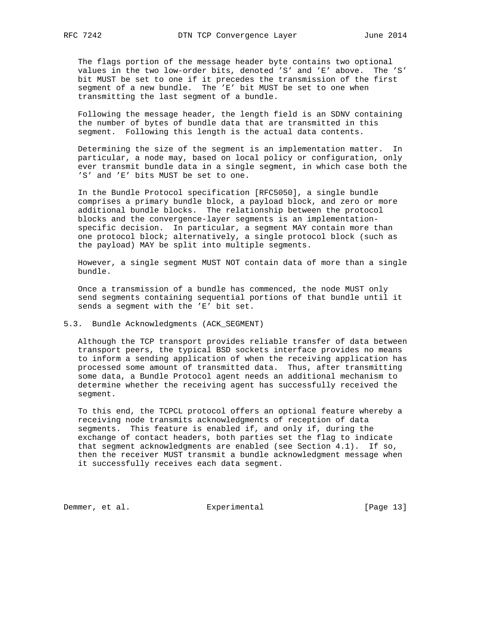The flags portion of the message header byte contains two optional values in the two low-order bits, denoted 'S' and 'E' above. The 'S' bit MUST be set to one if it precedes the transmission of the first segment of a new bundle. The 'E' bit MUST be set to one when transmitting the last segment of a bundle.

 Following the message header, the length field is an SDNV containing the number of bytes of bundle data that are transmitted in this segment. Following this length is the actual data contents.

 Determining the size of the segment is an implementation matter. In particular, a node may, based on local policy or configuration, only ever transmit bundle data in a single segment, in which case both the 'S' and 'E' bits MUST be set to one.

 In the Bundle Protocol specification [RFC5050], a single bundle comprises a primary bundle block, a payload block, and zero or more additional bundle blocks. The relationship between the protocol blocks and the convergence-layer segments is an implementation specific decision. In particular, a segment MAY contain more than one protocol block; alternatively, a single protocol block (such as the payload) MAY be split into multiple segments.

 However, a single segment MUST NOT contain data of more than a single bundle.

 Once a transmission of a bundle has commenced, the node MUST only send segments containing sequential portions of that bundle until it sends a segment with the 'E' bit set.

### 5.3. Bundle Acknowledgments (ACK\_SEGMENT)

 Although the TCP transport provides reliable transfer of data between transport peers, the typical BSD sockets interface provides no means to inform a sending application of when the receiving application has processed some amount of transmitted data. Thus, after transmitting some data, a Bundle Protocol agent needs an additional mechanism to determine whether the receiving agent has successfully received the segment.

 To this end, the TCPCL protocol offers an optional feature whereby a receiving node transmits acknowledgments of reception of data segments. This feature is enabled if, and only if, during the exchange of contact headers, both parties set the flag to indicate that segment acknowledgments are enabled (see Section 4.1). If so, then the receiver MUST transmit a bundle acknowledgment message when it successfully receives each data segment.

Demmer, et al. Experimental [Page 13]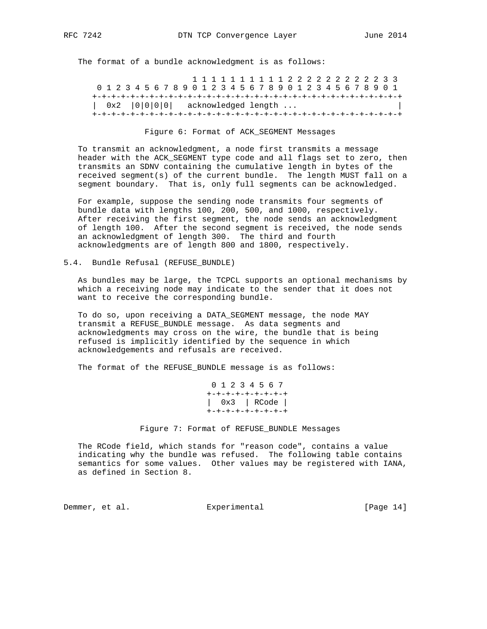The format of a bundle acknowledgment is as follows:

 1 1 1 1 1 1 1 1 1 1 2 2 2 2 2 2 2 2 2 2 3 3 0 1 2 3 4 5 6 7 8 9 0 1 2 3 4 5 6 7 8 9 0 1 2 3 4 5 6 7 8 9 0 1 +-+-+-+-+-+-+-+-+-+-+-+-+-+-+-+-+-+-+-+-+-+-+-+-+-+-+-+-+-+-+-+-+  $| 0x2 | 0|0|0|0|$  acknowledged length ... +-+-+-+-+-+-+-+-+-+-+-+-+-+-+-+-+-+-+-+-+-+-+-+-+-+-+-+-+-+-+-+-+

Figure 6: Format of ACK\_SEGMENT Messages

 To transmit an acknowledgment, a node first transmits a message header with the ACK\_SEGMENT type code and all flags set to zero, then transmits an SDNV containing the cumulative length in bytes of the received segment(s) of the current bundle. The length MUST fall on a segment boundary. That is, only full segments can be acknowledged.

 For example, suppose the sending node transmits four segments of bundle data with lengths 100, 200, 500, and 1000, respectively. After receiving the first segment, the node sends an acknowledgment of length 100. After the second segment is received, the node sends an acknowledgment of length 300. The third and fourth acknowledgments are of length 800 and 1800, respectively.

5.4. Bundle Refusal (REFUSE\_BUNDLE)

 As bundles may be large, the TCPCL supports an optional mechanisms by which a receiving node may indicate to the sender that it does not want to receive the corresponding bundle.

 To do so, upon receiving a DATA\_SEGMENT message, the node MAY transmit a REFUSE\_BUNDLE message. As data segments and acknowledgments may cross on the wire, the bundle that is being refused is implicitly identified by the sequence in which acknowledgements and refusals are received.

The format of the REFUSE\_BUNDLE message is as follows:

 0 1 2 3 4 5 6 7 +-+-+-+-+-+-+-+-+ | 0x3 | RCode | +-+-+-+-+-+-+-+-+

Figure 7: Format of REFUSE\_BUNDLE Messages

 The RCode field, which stands for "reason code", contains a value indicating why the bundle was refused. The following table contains semantics for some values. Other values may be registered with IANA, as defined in Section 8.

Demmer, et al. Experimental [Page 14]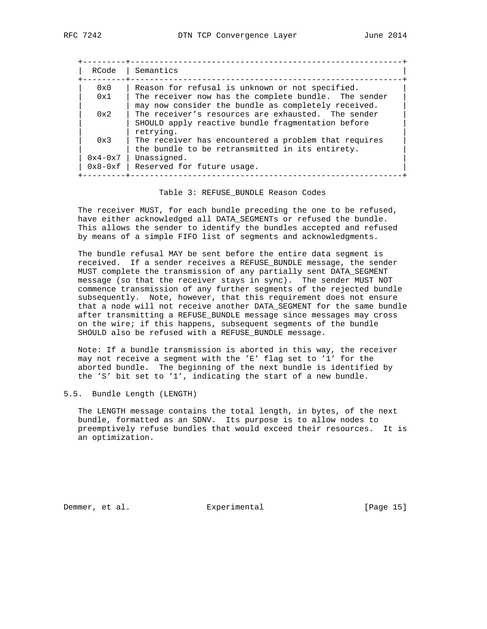| RCode                  | Semantics                                                                                                                                                      |
|------------------------|----------------------------------------------------------------------------------------------------------------------------------------------------------------|
| 0x0<br>0x1             | Reason for refusal is unknown or not specified.<br>The receiver now has the complete bundle. The sender<br>may now consider the bundle as completely received. |
| $0 \times 2$           | The receiver's resources are exhausted. The sender<br>SHOULD apply reactive bundle fragmentation before<br>retrying.                                           |
| 0x3                    | The receiver has encountered a problem that requires<br>the bundle to be retransmitted in its entirety.                                                        |
| $0x4-0x7$<br>$0x8-0xf$ | Unassigned.<br>Reserved for future usage.                                                                                                                      |

#### Table 3: REFUSE\_BUNDLE Reason Codes

 The receiver MUST, for each bundle preceding the one to be refused, have either acknowledged all DATA\_SEGMENTs or refused the bundle. This allows the sender to identify the bundles accepted and refused by means of a simple FIFO list of segments and acknowledgments.

 The bundle refusal MAY be sent before the entire data segment is received. If a sender receives a REFUSE\_BUNDLE message, the sender MUST complete the transmission of any partially sent DATA\_SEGMENT message (so that the receiver stays in sync). The sender MUST NOT commence transmission of any further segments of the rejected bundle subsequently. Note, however, that this requirement does not ensure that a node will not receive another DATA\_SEGMENT for the same bundle after transmitting a REFUSE\_BUNDLE message since messages may cross on the wire; if this happens, subsequent segments of the bundle SHOULD also be refused with a REFUSE\_BUNDLE message.

 Note: If a bundle transmission is aborted in this way, the receiver may not receive a segment with the 'E' flag set to '1' for the aborted bundle. The beginning of the next bundle is identified by the 'S' bit set to '1', indicating the start of a new bundle.

#### 5.5. Bundle Length (LENGTH)

 The LENGTH message contains the total length, in bytes, of the next bundle, formatted as an SDNV. Its purpose is to allow nodes to preemptively refuse bundles that would exceed their resources. It is an optimization.

Demmer, et al. Subsection Experimental Experimental [Page 15]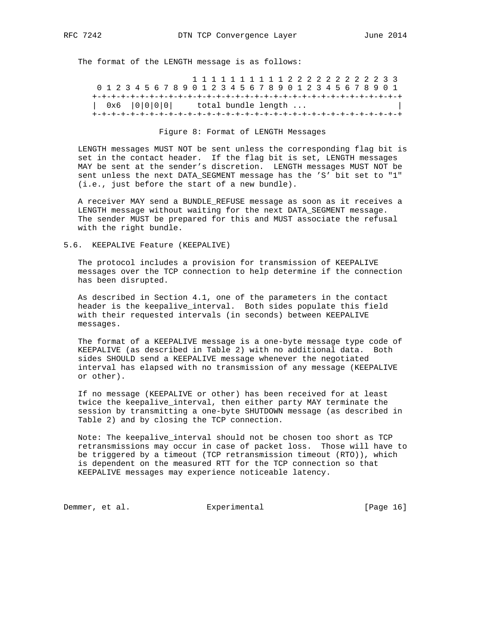The format of the LENGTH message is as follows:

 1 1 1 1 1 1 1 1 1 1 2 2 2 2 2 2 2 2 2 2 3 3 0 1 2 3 4 5 6 7 8 9 0 1 2 3 4 5 6 7 8 9 0 1 2 3 4 5 6 7 8 9 0 1 +-+-+-+-+-+-+-+-+-+-+-+-+-+-+-+-+-+-+-+-+-+-+-+-+-+-+-+-+-+-+-+-+  $| 0x6 | 0|0|0|0|$  total bundle length ... +-+-+-+-+-+-+-+-+-+-+-+-+-+-+-+-+-+-+-+-+-+-+-+-+-+-+-+-+-+-+-+-+

#### Figure 8: Format of LENGTH Messages

 LENGTH messages MUST NOT be sent unless the corresponding flag bit is set in the contact header. If the flag bit is set, LENGTH messages MAY be sent at the sender's discretion. LENGTH messages MUST NOT be sent unless the next DATA\_SEGMENT message has the 'S' bit set to "1" (i.e., just before the start of a new bundle).

 A receiver MAY send a BUNDLE\_REFUSE message as soon as it receives a LENGTH message without waiting for the next DATA\_SEGMENT message. The sender MUST be prepared for this and MUST associate the refusal with the right bundle.

5.6. KEEPALIVE Feature (KEEPALIVE)

 The protocol includes a provision for transmission of KEEPALIVE messages over the TCP connection to help determine if the connection has been disrupted.

 As described in Section 4.1, one of the parameters in the contact header is the keepalive\_interval. Both sides populate this field with their requested intervals (in seconds) between KEEPALIVE messages.

 The format of a KEEPALIVE message is a one-byte message type code of KEEPALIVE (as described in Table 2) with no additional data. Both sides SHOULD send a KEEPALIVE message whenever the negotiated interval has elapsed with no transmission of any message (KEEPALIVE or other).

 If no message (KEEPALIVE or other) has been received for at least twice the keepalive\_interval, then either party MAY terminate the session by transmitting a one-byte SHUTDOWN message (as described in Table 2) and by closing the TCP connection.

 Note: The keepalive\_interval should not be chosen too short as TCP retransmissions may occur in case of packet loss. Those will have to be triggered by a timeout (TCP retransmission timeout (RTO)), which is dependent on the measured RTT for the TCP connection so that KEEPALIVE messages may experience noticeable latency.

Demmer, et al. Superimental Experimental [Page 16]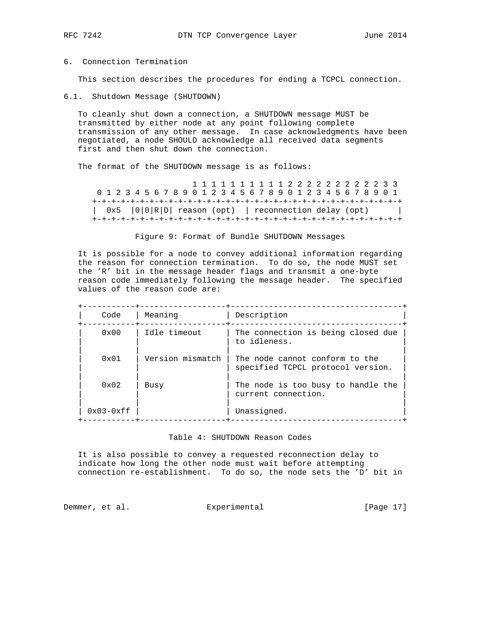### 6. Connection Termination

This section describes the procedures for ending a TCPCL connection.

6.1. Shutdown Message (SHUTDOWN)

 To cleanly shut down a connection, a SHUTDOWN message MUST be transmitted by either node at any point following complete transmission of any other message. In case acknowledgments have been negotiated, a node SHOULD acknowledge all received data segments first and then shut down the connection.

The format of the SHUTDOWN message is as follows:

 1 1 1 1 1 1 1 1 1 1 2 2 2 2 2 2 2 2 2 2 3 3 0 1 2 3 4 5 6 7 8 9 0 1 2 3 4 5 6 7 8 9 0 1 2 3 4 5 6 7 8 9 0 1 +-+-+-+-+-+-+-+-+-+-+-+-+-+-+-+-+-+-+-+-+-+-+-+-+-+-+-+-+-+-+-+-+ | 0x5 |0|0|R|D| reason (opt) | reconnection delay (opt) | +-+-+-+-+-+-+-+-+-+-+-+-+-+-+-+-+-+-+-+-+-+-+-+-+-+-+-+-+-+-+-+-+

### Figure 9: Format of Bundle SHUTDOWN Messages

 It is possible for a node to convey additional information regarding the reason for connection termination. To do so, the node MUST set the 'R' bit in the message header flags and transmit a one-byte reason code immediately following the message header. The specified values of the reason code are:

| Code          | Meaning          | Description                                                         |
|---------------|------------------|---------------------------------------------------------------------|
| $0 \times 00$ | Idle timeout     | The connection is being closed due<br>to idleness.                  |
| 0x01          | Version mismatch | The node cannot conform to the<br>specified TCPCL protocol version. |
| $0 \times 02$ | Busy             | The node is too busy to handle the<br>current connection.           |
| $0x03-0xff$   |                  | Unassigned.                                                         |

#### Table 4: SHUTDOWN Reason Codes

 It is also possible to convey a requested reconnection delay to indicate how long the other node must wait before attempting connection re-establishment. To do so, the node sets the 'D' bit in

Demmer, et al. Subsection Experimental Experimental [Page 17]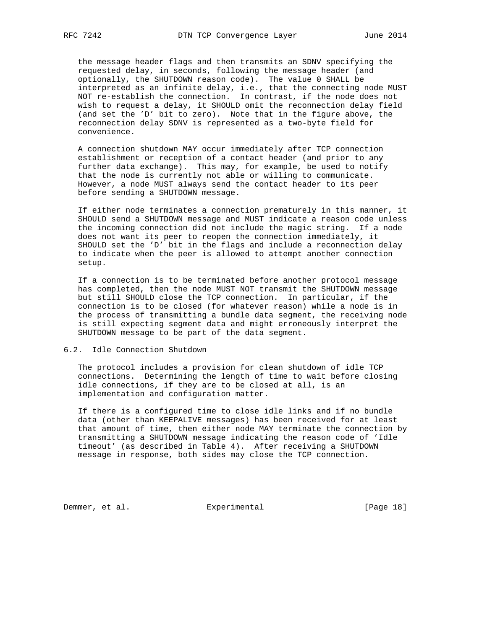the message header flags and then transmits an SDNV specifying the requested delay, in seconds, following the message header (and optionally, the SHUTDOWN reason code). The value 0 SHALL be interpreted as an infinite delay, i.e., that the connecting node MUST NOT re-establish the connection. In contrast, if the node does not wish to request a delay, it SHOULD omit the reconnection delay field (and set the 'D' bit to zero). Note that in the figure above, the reconnection delay SDNV is represented as a two-byte field for convenience.

 A connection shutdown MAY occur immediately after TCP connection establishment or reception of a contact header (and prior to any further data exchange). This may, for example, be used to notify that the node is currently not able or willing to communicate. However, a node MUST always send the contact header to its peer before sending a SHUTDOWN message.

 If either node terminates a connection prematurely in this manner, it SHOULD send a SHUTDOWN message and MUST indicate a reason code unless the incoming connection did not include the magic string. If a node does not want its peer to reopen the connection immediately, it SHOULD set the 'D' bit in the flags and include a reconnection delay to indicate when the peer is allowed to attempt another connection setup.

 If a connection is to be terminated before another protocol message has completed, then the node MUST NOT transmit the SHUTDOWN message but still SHOULD close the TCP connection. In particular, if the connection is to be closed (for whatever reason) while a node is in the process of transmitting a bundle data segment, the receiving node is still expecting segment data and might erroneously interpret the SHUTDOWN message to be part of the data segment.

#### 6.2. Idle Connection Shutdown

 The protocol includes a provision for clean shutdown of idle TCP connections. Determining the length of time to wait before closing idle connections, if they are to be closed at all, is an implementation and configuration matter.

 If there is a configured time to close idle links and if no bundle data (other than KEEPALIVE messages) has been received for at least that amount of time, then either node MAY terminate the connection by transmitting a SHUTDOWN message indicating the reason code of 'Idle timeout' (as described in Table 4). After receiving a SHUTDOWN message in response, both sides may close the TCP connection.

Demmer, et al. Experimental [Page 18]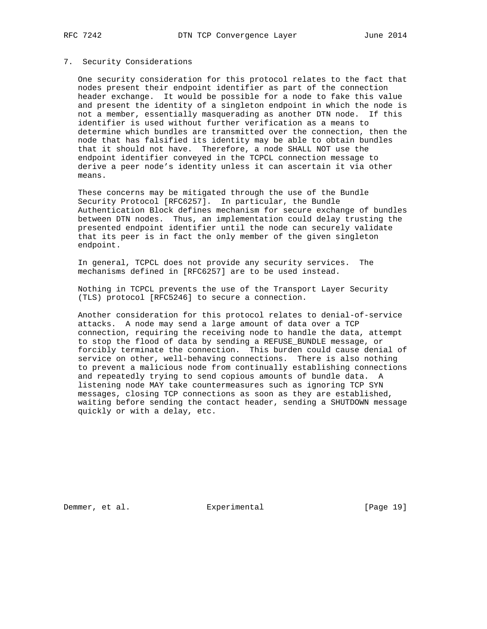### 7. Security Considerations

 One security consideration for this protocol relates to the fact that nodes present their endpoint identifier as part of the connection header exchange. It would be possible for a node to fake this value and present the identity of a singleton endpoint in which the node is not a member, essentially masquerading as another DTN node. If this identifier is used without further verification as a means to determine which bundles are transmitted over the connection, then the node that has falsified its identity may be able to obtain bundles that it should not have. Therefore, a node SHALL NOT use the endpoint identifier conveyed in the TCPCL connection message to derive a peer node's identity unless it can ascertain it via other means.

 These concerns may be mitigated through the use of the Bundle Security Protocol [RFC6257]. In particular, the Bundle Authentication Block defines mechanism for secure exchange of bundles between DTN nodes. Thus, an implementation could delay trusting the presented endpoint identifier until the node can securely validate that its peer is in fact the only member of the given singleton endpoint.

 In general, TCPCL does not provide any security services. The mechanisms defined in [RFC6257] are to be used instead.

 Nothing in TCPCL prevents the use of the Transport Layer Security (TLS) protocol [RFC5246] to secure a connection.

 Another consideration for this protocol relates to denial-of-service attacks. A node may send a large amount of data over a TCP connection, requiring the receiving node to handle the data, attempt to stop the flood of data by sending a REFUSE\_BUNDLE message, or forcibly terminate the connection. This burden could cause denial of service on other, well-behaving connections. There is also nothing to prevent a malicious node from continually establishing connections and repeatedly trying to send copious amounts of bundle data. A listening node MAY take countermeasures such as ignoring TCP SYN messages, closing TCP connections as soon as they are established, waiting before sending the contact header, sending a SHUTDOWN message quickly or with a delay, etc.

Demmer, et al. Subsection Experimental Experimental [Page 19]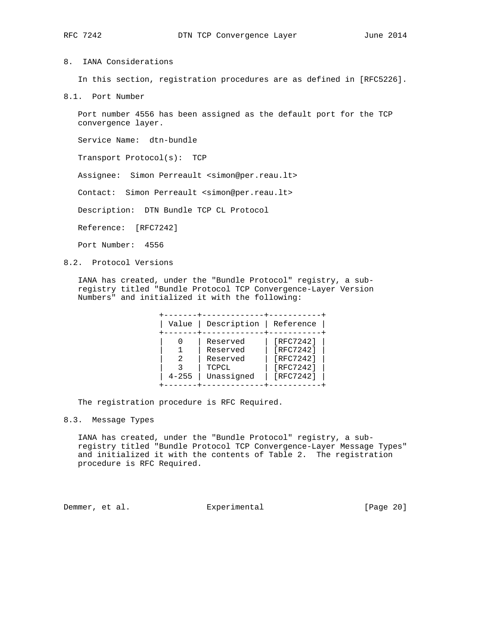## 8. IANA Considerations

In this section, registration procedures are as defined in [RFC5226].

8.1. Port Number

 Port number 4556 has been assigned as the default port for the TCP convergence layer.

Service Name: dtn-bundle

Transport Protocol(s): TCP

Assignee: Simon Perreault <simon@per.reau.lt>

Contact: Simon Perreault <simon@per.reau.lt>

Description: DTN Bundle TCP CL Protocol

Reference: [RFC7242]

Port Number: 4556

8.2. Protocol Versions

 IANA has created, under the "Bundle Protocol" registry, a sub registry titled "Bundle Protocol TCP Convergence-Layer Version Numbers" and initialized it with the following:

| Value     |
|-----------|
| $4 - 255$ |

The registration procedure is RFC Required.

## 8.3. Message Types

 IANA has created, under the "Bundle Protocol" registry, a sub registry titled "Bundle Protocol TCP Convergence-Layer Message Types" and initialized it with the contents of Table 2. The registration procedure is RFC Required.

Demmer, et al. Experimental [Page 20]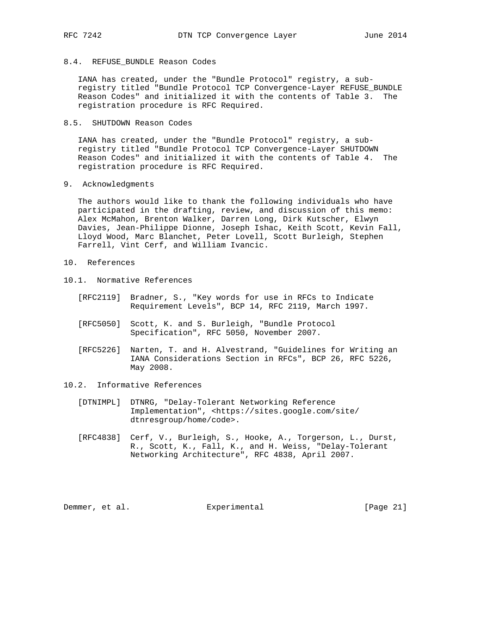## 8.4. REFUSE\_BUNDLE Reason Codes

 IANA has created, under the "Bundle Protocol" registry, a sub registry titled "Bundle Protocol TCP Convergence-Layer REFUSE\_BUNDLE Reason Codes" and initialized it with the contents of Table 3. The registration procedure is RFC Required.

8.5. SHUTDOWN Reason Codes

 IANA has created, under the "Bundle Protocol" registry, a sub registry titled "Bundle Protocol TCP Convergence-Layer SHUTDOWN Reason Codes" and initialized it with the contents of Table 4. The registration procedure is RFC Required.

9. Acknowledgments

 The authors would like to thank the following individuals who have participated in the drafting, review, and discussion of this memo: Alex McMahon, Brenton Walker, Darren Long, Dirk Kutscher, Elwyn Davies, Jean-Philippe Dionne, Joseph Ishac, Keith Scott, Kevin Fall, Lloyd Wood, Marc Blanchet, Peter Lovell, Scott Burleigh, Stephen Farrell, Vint Cerf, and William Ivancic.

- 10. References
- 10.1. Normative References
	- [RFC2119] Bradner, S., "Key words for use in RFCs to Indicate Requirement Levels", BCP 14, RFC 2119, March 1997.
	- [RFC5050] Scott, K. and S. Burleigh, "Bundle Protocol Specification", RFC 5050, November 2007.
	- [RFC5226] Narten, T. and H. Alvestrand, "Guidelines for Writing an IANA Considerations Section in RFCs", BCP 26, RFC 5226, May 2008.
- 10.2. Informative References
	- [DTNIMPL] DTNRG, "Delay-Tolerant Networking Reference Implementation", <https://sites.google.com/site/ dtnresgroup/home/code>.
	- [RFC4838] Cerf, V., Burleigh, S., Hooke, A., Torgerson, L., Durst, R., Scott, K., Fall, K., and H. Weiss, "Delay-Tolerant Networking Architecture", RFC 4838, April 2007.

Demmer, et al. Experimental [Page 21]